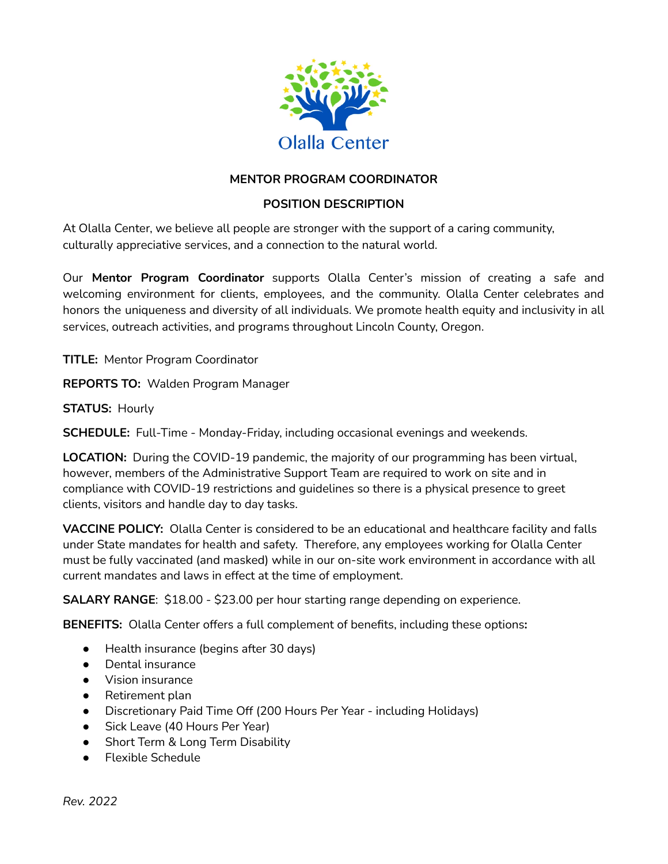

# **MENTOR PROGRAM COORDINATOR**

# **POSITION DESCRIPTION**

At Olalla Center, we believe all people are stronger with the support of a caring community, culturally appreciative services, and a connection to the natural world.

Our **Mentor Program Coordinator** supports Olalla Center's mission of creating a safe and welcoming environment for clients, employees, and the community. Olalla Center celebrates and honors the uniqueness and diversity of all individuals. We promote health equity and inclusivity in all services, outreach activities, and programs throughout Lincoln County, Oregon.

**TITLE:** Mentor Program Coordinator

**REPORTS TO:** Walden Program Manager

**STATUS:** Hourly

**SCHEDULE:** Full-Time - Monday-Friday, including occasional evenings and weekends.

**LOCATION:** During the COVID-19 pandemic, the majority of our programming has been virtual, however, members of the Administrative Support Team are required to work on site and in compliance with COVID-19 restrictions and guidelines so there is a physical presence to greet clients, visitors and handle day to day tasks.

**VACCINE POLICY:** Olalla Center is considered to be an educational and healthcare facility and falls under State mandates for health and safety. Therefore, any employees working for Olalla Center must be fully vaccinated (and masked) while in our on-site work environment in accordance with all current mandates and laws in effect at the time of employment.

**SALARY RANGE**: \$18.00 - \$23.00 per hour starting range depending on experience.

**BENEFITS:** Olalla Center offers a full complement of benefits, including these options**:**

- Health insurance (begins after 30 days)
- Dental insurance
- Vision insurance
- Retirement plan
- Discretionary Paid Time Off (200 Hours Per Year including Holidays)
- Sick Leave (40 Hours Per Year)
- Short Term & Long Term Disability
- **Flexible Schedule**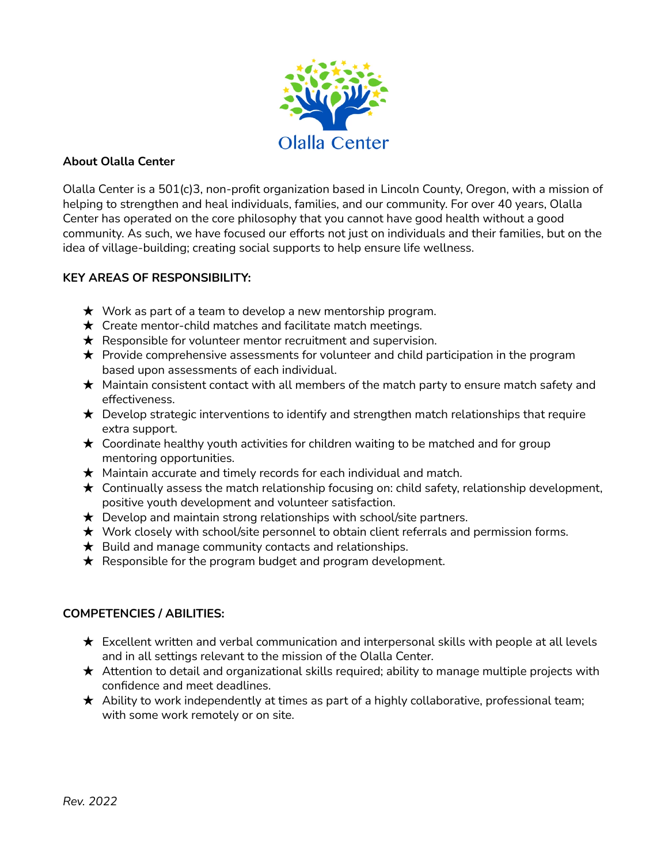

### **About Olalla Center**

Olalla Center is a 501(c)3, non-profit organization based in Lincoln County, Oregon, with a mission of helping to strengthen and heal individuals, families, and our community. For over 40 years, Olalla Center has operated on the core philosophy that you cannot have good health without a good community. As such, we have focused our efforts not just on individuals and their families, but on the idea of village-building; creating social supports to help ensure life wellness.

## **KEY AREAS OF RESPONSIBILITY:**

- $\star$  Work as part of a team to develop a new mentorship program.
- $\star$  Create mentor-child matches and facilitate match meetings.
- $\star$  Responsible for volunteer mentor recruitment and supervision.
- $\star$  Provide comprehensive assessments for volunteer and child participation in the program based upon assessments of each individual.
- $\star$  Maintain consistent contact with all members of the match party to ensure match safety and effectiveness.
- $\star$  Develop strategic interventions to identify and strengthen match relationships that require extra support.
- $\star$  Coordinate healthy youth activities for children waiting to be matched and for group mentoring opportunities.
- $\star$  Maintain accurate and timely records for each individual and match.
- $\star$  Continually assess the match relationship focusing on: child safety, relationship development, positive youth development and volunteer satisfaction.
- $\star$  Develop and maintain strong relationships with school/site partners.
- ★ Work closely with school/site personnel to obtain client referrals and permission forms.
- $\star$  Build and manage community contacts and relationships.
- $\star$  Responsible for the program budget and program development.

#### **COMPETENCIES / ABILITIES:**

- $\star$  Excellent written and verbal communication and interpersonal skills with people at all levels and in all settings relevant to the mission of the Olalla Center.
- ★ Attention to detail and organizational skills required; ability to manage multiple projects with confidence and meet deadlines.
- $\star$  Ability to work independently at times as part of a highly collaborative, professional team; with some work remotely or on site.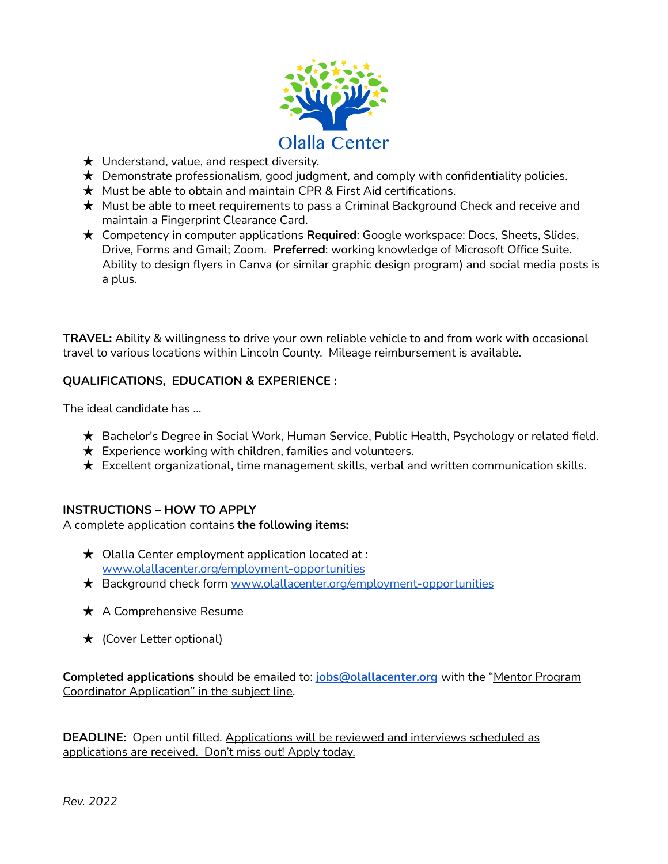

- $\star$  Understand, value, and respect diversity.
- $\star$  Demonstrate professionalism, good judgment, and comply with confidentiality policies.
- $\star$  Must be able to obtain and maintain CPR & First Aid certifications.
- ★ Must be able to meet requirements to pass a Criminal Background Check and receive and maintain a Fingerprint Clearance Card.
- ★ Competency in computer applications **Required**: Google workspace: Docs, Sheets, Slides, Drive, Forms and Gmail; Zoom. **Preferred**: working knowledge of Microsoft Office Suite. Ability to design flyers in Canva (or similar graphic design program) and social media posts is a plus.

**TRAVEL:** Ability & willingness to drive your own reliable vehicle to and from work with occasional travel to various locations within Lincoln County. Mileage reimbursement is available.

## **QUALIFICATIONS, EDUCATION & EXPERIENCE :**

The ideal candidate has …

- ★ Bachelor's Degree in Social Work, Human Service, Public Health, Psychology or related field.
- $\star$  Experience working with children, families and volunteers.
- $\star$  Excellent organizational, time management skills, verbal and written communication skills.

#### **INSTRUCTIONS – HOW TO APPLY**

A complete application contains **the following items:**

- $\star$  Olalla Center employment application located at : [www.olallacenter.org/employment-opportunities](http://www.olallacenter.org/employment-opportunities)
- ★ Background check form [www.olallacenter.org/employment-opportunities](http://www.olallacenter.org/employment-opportunities)
- **★** A Comprehensive Resume
- ★ (Cover Letter optional)

**Completed applications** should be emailed to: **[jobs@olallacenter.org](mailto:jobs@olallacenter.org)** with the "Mentor Program Coordinator Application" in the subject line.

**DEADLINE:** Open until filled. Applications will be reviewed and interviews scheduled as applications are received. Don't miss out! Apply today.